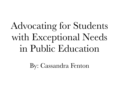Advocating for Students with Exceptional Needs in Public Education

By: Cassandra Fenton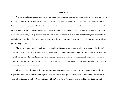## Project Description

When creating this project, my goal was to combine my knowledge and experiences from my major in political science and my participation in the teacher certification program. To that end, this project is a political activism campaign that seeks to empower those in the education field, specially advocates for students with exceptional needs, to exercise their political voice. I have too often felt the sentiment of disenfranchisement by those are not actively involved in politics. In order to address this negative perception of politics and government, my project strives to inform professionals in the education field of their ability and right to exercise their political voice. Those in the field are the most equipped to advise policy surrounding special education, and this expertise can be of great use for politicians.

 The primary component of my project are two issue letters that can be sent to representatives to advocate for the rights of students with exceptional needs. The first letter tackles the issue of lack of adequate funding for special education by the state. The second letter addresses the general disrespect for the teaching profession as well many of the obstacles teachers must overcome to educate their students effectively. While these letters can be sent as is, they are meant to inspire professionals in the field to share their own expertise with their representatives.

 I have also included a graph to demonstrate that a vote carries more weight at lower levels of government, for which less people come out to vote, as opposed to the highest offices, which attract the greatest voter turnout. Additionally, I have created a visual aide that compares the New Jersey legislature with the United States Congress, in order to highlight the similarities and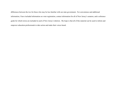differences between the two for those who may be less familiar with our state government. For convenience and additional information, I have included information on voter registration, contact information for all of New Jersey's senators, and a reference guide for which towns are included in each of New Jersey's districts. My hope is that all of this material can be used to inform and empower education professionals to take action and make their voices heard.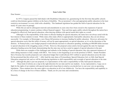#### **Issue Letter One**

#### Dear Senator  $\Box$

 In 1975, Congress passed the Individuals with Disabilities Education Act, guaranteeing for the first time that public schools could not discriminate against children on the basis of disability. The act promised 'a free and appropriate public education in the least restrictive environment' to every child with a disability. This landmark legislation has guided the field of special education for the nearly 45 years since its passage.

 While this act and its subsequent renewals and amendments in years since have been crucial to the expansion of special education programming, it cannot continue without financial support. Time and time again, public schools throughout the nation have struggled to effectively fund special education, often denying children with special needs their rights as a result.

 Although it is the responsibility of the states to allocate funding for special education, the states have not always acted with the best interest of these students in mind. While states often make efforts to appropriately fund public education, they are not always successful. For example, in Mississippi, a new House bill promises to increase funding for public education. However, advocates for special education worry that this influx of money will not be spent appropriately on special education, as it is at the discretion of the districts. In Pennsylvania, a new budget proposal would allocate increases to education spending, including an 800,000 dollar increase to special education in the struggling county of York. However, this proposal comes amid a lawsuit against the state for improper education funding across the board, demonstrating that the state may not have acted in support of special education in the past.

 While these are examples of the challenges and setbacks in the funding of special education, they also represent instances of states taking measures to fully comply with IDEA. New Jersey is also beginning to act on the promises of IDEA. Senate President Steve Sweeney has recently proposed a new education budget that would allocate \$431 million to special education across the state. He has promised that this reform will, "...fully fund the state share of Extraordinary Special Education Aid, we fully fund Special Education categorical aid, and we will be introducing legislation to shift responsibility and oversight of special education to the state level". Although this plan is just one proposal, it is representative of the state's responsibility to fully fund special education.

 These kind of reforms are a step in the right direction for our state and for our students. As my representative, I urge you to fight for the rights of our students with special needs and to keep them in mind as you decide how to cast your vote on upcoming legislation. These students have the same right to an education as all of our children do. You have the responsibility and capability to be a force of change in the lives of these children. Thank you for your time and consideration.

Sincerely,

 $\mathcal{L}_\text{max}$  and  $\mathcal{L}_\text{max}$  and  $\mathcal{L}_\text{max}$  and  $\mathcal{L}_\text{max}$  and  $\mathcal{L}_\text{max}$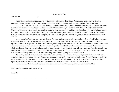#### **Issue Letter Two**

Dear Senator

 Today in the United States, there are over six million students with disabilities. As this number continues to rise, it is imperative that we, as a nation, work together to provide these students with the highest quality and standard of education.

 As I am sure you are aware, in 2017, the Supreme Court unanimously ruled in favor of higher standards for special education in *Endrew F. v. Douglas County School District*. The majority opinion read, "It cannot be right that the IDEA (Individuals with Disabilities Education Act) generally contemplates grade-level advancement for children with disabilities who are fully integrated in the regular classroom, but is satisfied with barely more than *de minimis* progress for children who are not". Based on the Court's decision, every state must take measures to improve the quality of our special education programs in order to ensure success for all students.

 As an elected official, you can make a difference for these students by proposing and voting in favor of legislation in support of teachers. Two of the greatest problems facing public education today are teacher shortages and poor teacher retention rates, especially in the field of special education. While this negatively impacts all students, students with disabilities are more likely to lack a qualified teacher. Teachers in public education are challenged by limited and outdated resources, overcrowded classrooms, low salaries, and demanding and convoluted expectations from the state. In addition to these challenges, teachers of special education are also tasked with extra paperwork in regards to their students' Individualized Education Plans (IEP). Navigating these procedures consumes extraordinary amounts of their time, detracting from their ability to plan and actually teach.

 By passing legislation to simplify procedures for teachers of special education as well as to provide all teachers with more support, money, and resources, you can help to create a culture of respect for the education profession. This will have a direct impact on the quality of public education for our students, particularly those with disabilities. As the Supreme Court ruled, we must set higher expectations for all of our students with disabilities, in our quest to see all American students succeed.

 *Please consider how your actions as a Senator can and will impact the lives of millions of American children.* 

Thank you for your time and consideration.

 $\mathcal{L}_\text{max}$  , and the set of the set of the set of the set of the set of the set of the set of the set of the set of the set of the set of the set of the set of the set of the set of the set of the set of the set of the

Sincerely,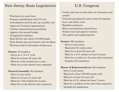# New Jersey State Legislature U.S. Congress

- •Function is to enact laws
- •Propose amendments with 3/5 vote
- •Amendments must be put up to public vote
- •Approval of judicial appointments
- •Conduct impeachment proceedings
- •Approve the annual budget
- •40 legislative districts
- •Each district has about 210,000 people
- •Each district has one Senator and two Reps.
- •Elections held in November of odd years

# **Senate:** 40 members

- **•**Serve on a "2-4-4" cycle
- **•**Must be at least 30 years old
- **•**Must be a NJ resident for 4 years
- **•**Must live in the district they represent

# **General Assembly:** 80 members

- **•**Serve 2 year terms
- **•**Must be at least 21 years old
- **•**Must be a NJ resident for 2 years
- **•**Must live in the district they represent

- •Create and vote on laws that are 'necessary and proper'
- •Override presidential vetoes with 2/3 majority
- •Levy and collect taxes
- •Regulate commerce
- •Raise and maintain armed forces
- •Declare war and approve treaties
- •All explicit and implied powers

# **Senate:** 100 members

- •Serve 6 year terms
- •Represent the entire state
- •Must be at least 30 years old
- •Must be a U.S. citizen (at least 9 years)
- •Must be a resident in the state they represent
- •Includes 20 committees

# **House of Representatives:** 435 members

- •Serve 2 year terms
- •Represent about 700,000 people each
- •Must be at least 25 years old
- •Must be a U.S. citizen (at least 7 years)
- •Must be a resident in the state they represent
- •Includes 23 committees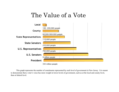# The Value of a Vote



 This graph represents the number of constituents represented by each level of government in New Jersey. It is meant to demonstrate that a voter's voice has more weight in lower levels of government, such as at the local and county level, than at federal level.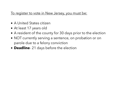# To register to vote in New Jersey, you must be:

- A United States citizen
- At least 17 years old
- A resident of the county for 30 days prior to the election
- NOT currently serving a sentence, on probation or on parole due to a felony conviction
- **Deadline** 21 days before the election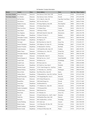### NJ Senators' Contact Information

| <b>District</b>           | <b>Senator</b>             | Party      | <b>Street Address</b>                     | <b>Town</b>          |       | <b>Zip Code   Phone Number</b> |
|---------------------------|----------------------------|------------|-------------------------------------------|----------------------|-------|--------------------------------|
| <b>New Jersey Senator</b> | Robert Mendendez           | Democrat   | One Gateway Center, Suite 1100            | Newark               | 07102 | $(973)$ 645-3030               |
| <b>New Jersey Senator</b> | Cory Booker                | Democrat   | One Gateway Center, 23rd Floor            | Newark               | 07102 | $(973) 639 - 8700$             |
|                           | Jeff Van Drew              | Democrat   | 211 S. Main St., Suite 104                | Cape May Court House | 08210 | $(609)$ 465-0700               |
| $\overline{2}$            | Chris Brown                | Republican | 2021 New Rd. Suite 24                     | Linwood              | 08221 | $(609)$ 677-8266               |
| $\mathbf{3}$              | <b>Stephen Sweeney</b>     | Democrat   | 935 Kings Highway, Suite 400              | West Deptford        | 08086 | $(856)$ 251-9801               |
| $\overline{4}$            | Fred Madden                | Democrat   | 129 Johnson Road, Suite 1                 | Turnersville         | 08012 | $(856)$ 232-6700               |
| $\overline{5}$            | Nilsa Cruz-Perez           | Democrat   | 231 Market Street                         | Camden               | 08102 | $(856) 541 - 1251$             |
| 6                         | James Beach                | Democrat   | 1309 Route 70 West                        | Cherry Hill          | 08002 | $(856)$ 429-1572               |
| $\overline{7}$            | Troy Singleton             | Democrat   | 400 North Church St. Suite 260            | Moorestown           | 08057 | $(856)$ 234-2790               |
| 8                         | Dawn Addiego               | Republican | 176 Route 70, Suite 13                    | Medford              | 08055 | $(609) 654 - 1498$             |
| 9                         | <b>Christopher Connors</b> | Republican | 620 West Lacey Rd.                        | <b>Forked River</b>  | 08731 | $(609) 693 - 6700$             |
| 10                        | James Holzapfel            | Republican | 852 Highway 70                            | <b>Brick</b>         | 08724 | $(732) 840 - 9028$             |
| 11                        | Vin Gopal                  | Democrat   | 802 West Park Ave. Suite 221              | Ocean Twp            | 07712 | $(732)$ 695-3371               |
| 12                        | Samuel Thompson            | Republican | 2501 Highway 516, Suite 101               | Old Bridge           | 08857 | $(732)$ 607-7580               |
| 13                        | Declan O'Scanlon           | Republican | 32 Monmouth St. 3rd Floor                 | Red Bank             | 07701 | $(732)$ 933-1591               |
| 14                        | Linda Greenstein           | Democrat   | 1249 South River Rd., Suite 105           | Cranbury             | 08512 | $(609)$ 395-9911               |
| 15                        | <b>Shirley Turner</b>      | Democrat   | 1230 Parkway Ave., Suite 103              | Ewing Twp.           | 08628 | $(609)$ 323-7239               |
| 16                        | Christopher Bateman        | Republican | 36 East Main St.                          | Somerville           | 08876 | $(908) 526 - 3600$             |
| 17                        | <b>Bob Smith</b>           | Democrat   | 216 Stelton Rd., Suite E-5                | Piscataway           | 08854 | $(732) 752 - 0770$             |
| 18                        | Patrick Diegnan, Jr.       | Democrat   | 908 Oak Tree Ave., Unit P                 | South Plainfield     | 07080 | $(908)$ 757-1677               |
| 19                        | Joseph Vitale              | Democrat   | 569 Rahway Ave.                           | Woodbridge           | 07095 | $(732) 855 - 7441$             |
| 20                        | Joseph Cryan               | Democrat   | 985 Stuyvesant Ave.                       | Union                | 07083 | $(908) 624 - 0880$             |
| 21                        | Thomas Kean                | Republican | 425 North Ave. East, Suite C              | Westfield            | 07090 | $(908)$ 232-3673               |
| 22                        | Nicholas Scutari           | Democrat   | 1514 E. Saint Georges Ave., 2nd Floor     | Linden               | 07036 | $(908) 587 - 0404$             |
| 23                        | Michael Doherty            | Republican | 127 Belvidere Ave., 2nd Floor             | Washington           | 07882 | $(908)$ 835-0552               |
| 24                        | Steven Oroho               | Republican | One Wilson Drive, Suite 2B                | Sparta               | 07871 | $(973)$ 300-0200               |
| 25                        | <b>Anthony Bucco</b>       | Republican | 75 Bloomfield Ave., Suite 302, 3rd Floor  | Denville             | 07834 | $(973)$ 627-9700               |
| 26                        | Joseph Pennacchio          | Republican | 170 Changebridge Rd., Unit A1             | Montville            | 07045 | $(973)$ 227-4012               |
| 27                        | <b>Richard Codey</b>       | Democrat   | 66 W. Mount Pleasant Ave.                 | Livingston           | 07039 | $(973) 535 - 5017$             |
| 28                        | Ronald Rice                | Democrat   | 1044 South Orange Ave.                    | Newark               | 07106 | $(973)$ 371-5665               |
| 29                        | Teresa Ruiz                | Republican | 166 Bloomfield Ave.                       | Newark               | 07104 | $(973)$ 484-1000               |
| 30                        | Robert Singer              | Republican | 1771 Madison Ave., Suite 202              | Lakewood             | 08701 | $(732)$ 987-5669               |
| 31                        | Sandra Cunningham          | Democrat   | 1738 Kennedy Blvd.                        | Jersey City          | 07305 | $(201)$ 451-5100               |
| 32                        | Nicholas Sacco             | Democrat   | 9060 Palisade Ave.                        | North Bergen         | 07047 | $(201)$ 295-0200               |
| 33                        | <b>Brian Stack</b>         | Democrat   | 411 Palisades Ave.                        | Jersey City          | 07307 | $(201)$ 721-5263               |
| 34                        | Nia Gill                   | Democrat   | 39 South Fullerton Ave., 2nd Fl., Suite 7 | Montclair            | 07042 | $(973) 509 - 0388$             |
| 35                        | Nellie Pou                 | Democrat   | 100 Hamilton Plaza, Suite 1405            | Paterson             | 07505 | $(973)$ 247-1555               |
| 36                        | Paul Sarlo                 | Democrat   | 496 Columbia Blvd., 1st Floor             | Woodridge            | 07075 | $(201) 804 - 8118$             |
| 37                        | Loretta Weinberg           | Democrat   | 545 Cedar Lane                            | Teaneck              | 07666 | $(201)$ 928-0100               |
| 38                        | Robert Gordon              | Democrat   | 14-25 Plaza Rd., P.O. Box 398             | Fair Lawn            | 07410 | $(201) 703 - 9779$             |
| 39                        | Gerald Cardinale           | Republican | 350 Madison Ave.                          | Cresskill            | 07626 | $(201)$ 567-2324               |
| 40                        | Kristin Corrado            | Republican | 155 Route 46 West Suite 108               | Wayne                | 07470 | $(973)$ 237-1360               |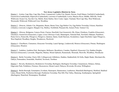#### **New Jersey Legislative Districts by Town**

D[istrict 1](javascript:ShowDistrict() - Avalon, Cape May, Cape May Point, Commercial, Corbin City, Dennis, Downe, Estell Manor, Fairfield (Cumberland), Greenwich (Cumberland), Hopewell (Cumberland), Lawrence (Cumberland), Lower, Maurice River, Middle, Millville, North Wildwood, Ocean City, Sea Isle City, Shiloh, Stone Harbor, Stow Creek, Upper, Vineland, West Cape May, West Wildwood, Weymouth, Wildwood, Wildwood Crest, Woodbine

[District 2](javascript:ShowDistrict() - Absecon, Atlantic City, Brigantine, Buena, Buena Vista, Egg Harbor City, Egg Harbor Township, Folsom, Hamilton (Atlantic), Linwood, Longport, Margate City, Mullica, Northfield, Pleasantville, Somers Point, Ventnor City

[District 3](javascript:ShowDistrict() - Alloway, Bridgeton, Carneys Point, Clayton, Deerfield, East Greenwich, Elk, Elmer, Elsinboro, Franklin (Gloucester), Glassboro, Greenwich (Gloucester), Logan, Lower Alloways Creek, Mannington, National Park, Newfield, Oldmans, Paulsboro, Penns Grove, Pennsville, Pilesgrove, Pittsgrove, Quinton, Salem, South Harrison, Swedesboro, Upper Deerfield, Upper Pittsgrove, West Deptford, Woodbury Heights, Woodstown, Woolwich

[District 4](javascript:ShowDistrict() - Chesilhurst, Clementon, Gloucester Township, Laurel Springs, Lindenwold, Monroe (Gloucester), Pitman, Washington (Gloucester), Winslow

[District 5](javascript:ShowDistrict() - Audubon, Audubon Park, Barrington, Bellmawr, Brooklawn, Camden, Deptford, Gloucester City, Haddon Heights, Harrison (Gloucester), Lawnside, Magnolia, Mantua, Mount Ephraim, Runnemede, Wenonah, Westville, Woodbury, Woodlynne

[District 6](javascript:ShowDistrict() - Berlin Township, Cherry Hill, Collingswood, Gibbsboro, Haddon, Haddonfield, Hi-Nella, Maple Shade, Merchantville, Oaklyn, Pennsauken, Somerdale, Stratford, Tavistock, Voorhees

[District 7](javascript:ShowDistrict() - Beverly, Bordentown, Bordentown Township, Burlington, Burlington Township, Cinnaminson, Delanco, Delran, Edgewater Park, Fieldsboro, Florence, Moorestown, Mount Laurel, Palmyra, Riverside, Riverton, Willingboro

[District 8](javascript:ShowDistrict() - Berlin Borough, Eastampton, Evesham, Hainesport, Hammonton, Lumberton, Mansfield (Burlington), Medford, Medford Lakes, Mount Holly, Pemberton Borough, Pemberton Township, Pine Hill, Pine Valley, Shamong, Southampton, Springfield (Burlington), Waterford, Westampton, Woodland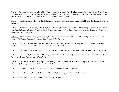[District 9](javascript:ShowDistrict() - Barnegat, Barnegat Light, Bass River, Beach Haven, Beachwood, Berkeley, Eagleswood, Galloway, Harvey Cedars, Lacey, Little Egg Harbor, Long Beach, Ocean Gate, Ocean Township (Ocean), Pine Beach, Port Republic, Seaside Park, Ship Bottom, South Toms River, Stafford, Surf City, Tabernacle, Tuckerton, Washington (Burlington)

[District 10](javascript:ShowDistrict() - Bay Head, Brick, Island Heights, Lakehurst, Lavallette, Manchester, Mantoloking, Point Pleasant Beach, Seaside Heights, Toms River

[District 11](javascript:ShowDistrict() - Allenhurst, Asbury Park, Colts Neck, Deal, Eatontown, Freehold Borough, Freehold Township, Interlaken, Loch Arbour, Long Branch, Neptune, Neptune Township, Ocean Township (Monmouth), Red Bank, Shrewsbury Borough, Shrewsbury Township, Tinton Falls, West Long Branch

[District 12](javascript:ShowDistrict() - Allentown, Chesterfield, Englishtown, Jackson, Manalapan, Matawan, Millstone (Monmouth), New Hanover, North Hanover, Old Bridge, Plumsted, Roosevelt, Upper Freehold, Wrightstown

[District 13](javascript:ShowDistrict() - Aberdeen, Atlantic Highlands, Fair Haven, Hazlet, Highlands, Holmdel, Keansburg, Keyport, Little Silver, Marlboro, Middletown, Monmouth Beach, Oceanport, Rumson, Sea Bright, Union Beach

[District 14](javascript:ShowDistrict() - Cranbury, East Windsor, Hamilton, Hightstown, Jamesburg, Monroe (Middlesex), Plainsboro, Robbinsville, Spotswood

[District 15](javascript:ShowDistrict() - East Amwell, Ewing, Hopewell Borough (Mercer), Hopewell Township (Mercer), Lambertville, Lawrence (Mercer), Pennington, Trenton, West Amwell, West Windsor

[District 16](javascript:ShowDistrict() - Branchburg, Delaware, Flemington, Hillsborough, Manville, Millstone (Somerset), Montgomery, Princeton, Raritan (Hunterdon), Readington, Rocky Hill, Somerville, South Brunswick, Stockton

[District 17](javascript:ShowDistrict() - Franklin (Somerset), Milltown, New Brunswick, North Brunswick, Piscataway

[District 18](javascript:ShowDistrict() - East Brunswick, Edison, Helmetta, Highland Park, Metuchen, South Plainfield, South River

[District 19](javascript:ShowDistrict() - Carteret, Perth Amboy, Sayreville, South Amboy, Woodbridge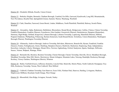[District 20](javascript:ShowDistrict() - Elizabeth, Hillside, Roselle, Union (Union)

[District 21](javascript:ShowDistrict() - Berkeley Heights, Bernards, Chatham Borough, Cranford, Far Hills, Garwood, Kenilworth, Long Hill, Mountainside, New Providence, Roselle Park, Springfield (Union), Summit, Warren, Watchung, Westfield

[District 22-](javascript:ShowDistrict() Clark, Dunellen, Fanwood, Green Brook, Linden, Middlesex, North Plainfield, Plainfield, Rahway, Scotch Plains, Winfield

[District 23](javascript:ShowDistrict() - Alexandria, Alpha, Bedminster, Bethlehem, Bloomsbury, Bound Brook, Bridgewater, Califon, Clinton, Clinton Township, Franklin (Hunterdon), Franklin (Warren), Frenchtown, Glen Gardner, Greenwich (Warren), Hackettstown, Hampton (Hunterdon), Harmony, High Bridge, Holland, Kingwood, Lebanon Borough, Lebanon Township, Lopatcong, Mansfield (Warren), Milford, Peapack-Gladstone, Phillipsburg, Pohatcong, Raritan (Somerset), South Bound Brook, Tewksbury, Union (Hunterdon), Washington Borough (Warren), Washington Township (Warren)

[District 24](javascript:ShowDistrict() - Allamuchy, Andover Borough, Andover Township, Belvidere, Blairstown, Branchville, Byram, Frankford, Franklin (Sussex), Fredon, Frelinghuysen, Green, Hamburg, Hampton (Sussex), Hardwick, Hardyston, Hopatcong, Hope, Independence, Knowlton, Lafayette, Liberty, Montague, Mount Olive, Newton, Ogdensburg, Oxford, Sandyston, Sparta, Stanhope, Stillwater, Sussex, Vernon, Walpack, Wantage, White

[District 25](javascript:ShowDistrict() - Bernardsville, Boonton, Boonton Township, Chester Borough, Chester Township, Denville, Dover, Mendham Borough, Mendham Township, Mine Hill, Morris, Morristown, Mount Arlington, Mountain Lakes, Netcong, Randolph, Rockaway Borough, Roxbury, Victory Gardens, Washington (Morris), Wharton

[District 26](javascript:ShowDistrict() - Butler, Fairfield (Essex), Jefferson, Kinnelon, Lincoln Park, Montville, Morris Plains, North Caldwell, Parsippany-Troy Hills, Rockaway Township, Verona, West Caldwell, West Milford

[District 27](javascript:ShowDistrict() - Caldwell, Chatham Township, East Hanover, Essex Fells, Florham Park, Hanover, Harding, Livingston, Madison, Maplewood, Millburn, Roseland, South Orange, West Orange

[District 28](javascript:ShowDistrict() - Bloomfield, Glen Ridge, Irvington, Newark, Nutley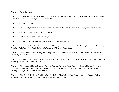[District 29](javascript:ShowDistrict() - Belleville, Newark

[District 30](javascript:ShowDistrict() - Avon-by-the-Sea, Belmar, Bradley Beach, Brielle, Farmingdale, Howell, Lake Como, Lakewood, Manasquan, Point Pleasant, Sea Girt, Spring Lake, Spring Lake Heights, Wall

[District 31](javascript:ShowDistrict() - Bayonne, Jersey City

[District 32](javascript:ShowDistrict() - East Newark, Edgewater, Fairview, Guttenberg, Harrison (Hudson), Kearny, North Bergen, Secaucus, West New York

[District 33](javascript:ShowDistrict() - Hoboken, Jersey City, Union City, Weehawken

[District 34](javascript:ShowDistrict() - Clifton, East Orange, Montclair, Orange

[District 35](javascript:ShowDistrict() - Elmwood Park, Garfield, Haledon, North Haledon, Paterson, Prospect Park

[District 36](javascript:ShowDistrict() - Carlstadt, Cliffside Park, East Rutherford, Little Ferry, Lyndhurst, Moonachie, North Arlington, Passaic, Ridgefield, Ridgefield Park, Rutherford, South Hackensack, Teterboro, Wallington, Wood-Ridge

[District 37](javascript:ShowDistrict() - Alpine, Bogota, Cresskill, Englewood, Englewood Cliffs, Fort Lee, Hackensack, Leonia, Northvale, Palisades Park, Rockleigh, Teaneck, Tenafly

[District 38](javascript:ShowDistrict() - Bergenfield, Fair Lawn, Glen Rock, Hasbrouck Heights, Hawthorne, Lodi, Maywood, New Milford, Oradell, Paramus, River Edge, Rochelle Park, Saddle Brook

[District 39](javascript:ShowDistrict() - Bloomingdale, Closter, Demarest, Dumont, Emerson, Harrington Park, Haworth, Hillsdale, Mahwah, Montvale, Norwood, Oakland, Old Tappan, Park Ridge, Ramsey, Ringwood, River Vale, Saddle River, Upper Saddle River, Wanaque, Washington (Bergen), Westwood, Woodcliff Lake

[District 40](javascript:ShowDistrict() - Allendale, Cedar Grove, Franklin Lakes, Ho-Ho-Kus, Little Falls, Midland Park, Pequannock, Pompton Lakes, Ridgewood, Riverdale, Totowa, Waldwick, Wayne, Woodland Park, Wyckoff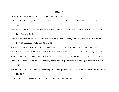#### Bibliography

"About IDEA." *Department of Education*, U.S. Government, Dec. 2015.

- Endrew F. *v.* Douglas County School District. 15-827. Supreme Court of the United States. 2017. *US Supreme Court Center.* Oyez. Web.
- Gonzalez, Junior. "York County School Administrators Testify in Favor of More Education Funding." *York Dispatch*, MediaOne Pennsylvania, 8 Mar. 2018.
- "Governor Christie Receives Education Transformation Task Force Report Outlining Plan to Empower Teachers and Schools." State. Nj.Us, NJ Department of Education, 5 Sept. 2012,

Hale, Lee. "Behind The Shortage Of Special Ed Teachers: Long Hours, Crushing Paperwork." NPR, NPR, 9 Nov. 2015. Harris, Bracey. "Fate of Special Education Funding Uncertain Under New Plan." *The Clarion Ledger*, USA Today, 28 Feb. 2018. Kamenetz, Anya, and Cory Turner. "The Supreme Court Rules In Favor Of A Special Education Student." NPR, NPR, 22 Mar. 2017, Lowe, Claire. "Sweeney Unveils New School Funding Plan for New Jersey." *The Press of Atlantic City*, BH Media Group, 6 Mar. 2018.

- McKenna, Laura. "How a New Supreme Court Ruling Could Affect Special Education." *The Atlantic*, Atlantic Media Company, 23 Mar. 2017.
- Oglesby, Amanda. "Will Teacher Shortage Impact NJ?" Asbury Park Press, USA Today, 25 Oct. 2016.